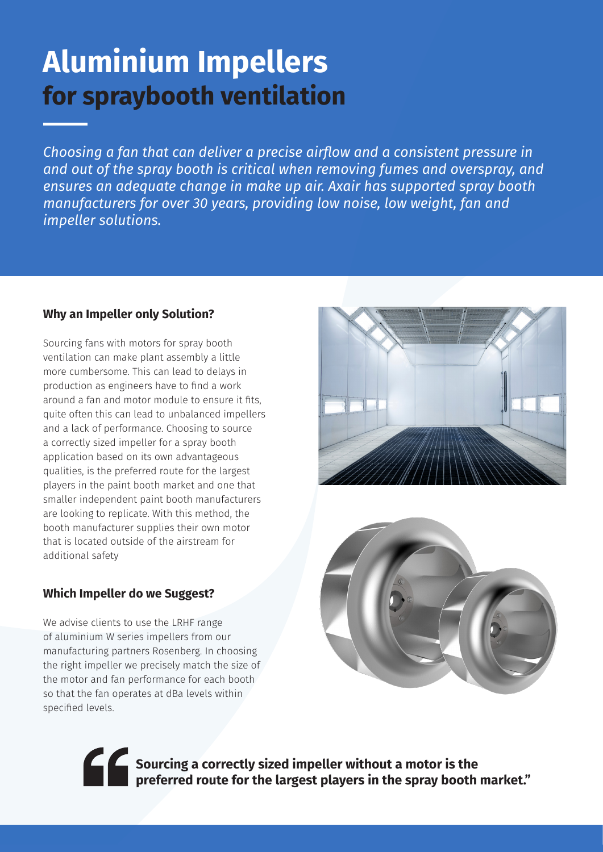## **Aluminium Impellers for spraybooth ventilation**

*Choosing a fan that can deliver a precise airflow and a consistent pressure in and out of the spray booth is critical when removing fumes and overspray, and ensures an adequate change in make up air. Axair has supported spray booth manufacturers for over 30 years, providing low noise, low weight, fan and impeller solutions.*

#### **Why an Impeller only Solution?**

Sourcing fans with motors for spray booth ventilation can make plant assembly a little more cumbersome. This can lead to delays in production as engineers have to find a work around a fan and motor module to ensure it fits, quite often this can lead to unbalanced impellers and a lack of performance. Choosing to source a correctly sized impeller for a spray booth application based on its own advantageous qualities, is the preferred route for the largest players in the paint booth market and one that smaller independent paint booth manufacturers are looking to replicate. With this method, the booth manufacturer supplies their own motor that is located outside of the airstream for additional safety

#### **Which Impeller do we Suggest?**

We advise clients to use the LRHF range of aluminium W series impellers from our manufacturing partners Rosenberg. In choosing the right impeller we precisely match the size of the motor and fan performance for each booth so that the fan operates at dBa levels within specified levels.





**Sourcing a correctly sized impeller without a motor is the preferred route for the largest players in the spray booth market."**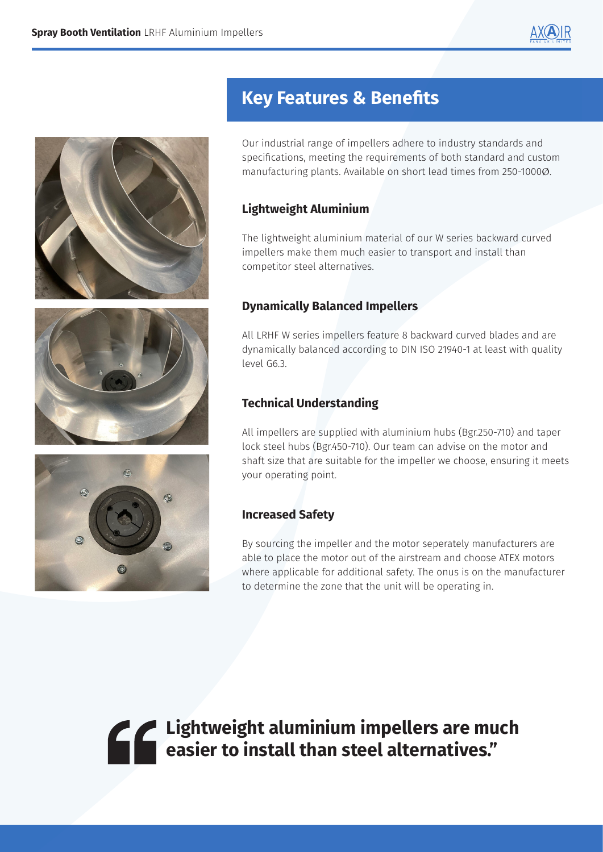







### **Key Features & Benefits**

Our industrial range of impellers adhere to industry standards and specifications, meeting the requirements of both standard and custom manufacturing plants. Available on short lead times from 250-1000Ø.

#### **Lightweight Aluminium**

The lightweight aluminium material of our W series backward curved impellers make them much easier to transport and install than competitor steel alternatives.

#### **Dynamically Balanced Impellers**

All LRHF W series impellers feature 8 backward curved blades and are dynamically balanced according to DIN ISO 21940-1 at least with quality level G6.3.

#### **Technical Understanding**

All impellers are supplied with aluminium hubs (Bgr.250-710) and taper lock steel hubs (Bgr.450-710). Our team can advise on the motor and shaft size that are suitable for the impeller we choose, ensuring it meets your operating point.

#### **Increased Safety**

By sourcing the impeller and the motor seperately manufacturers are able to place the motor out of the airstream and choose ATEX motors where applicable for additional safety. The onus is on the manufacturer to determine the zone that the unit will be operating in.

**Lightweight aluminium impellers are much easier to install than steel alternatives."**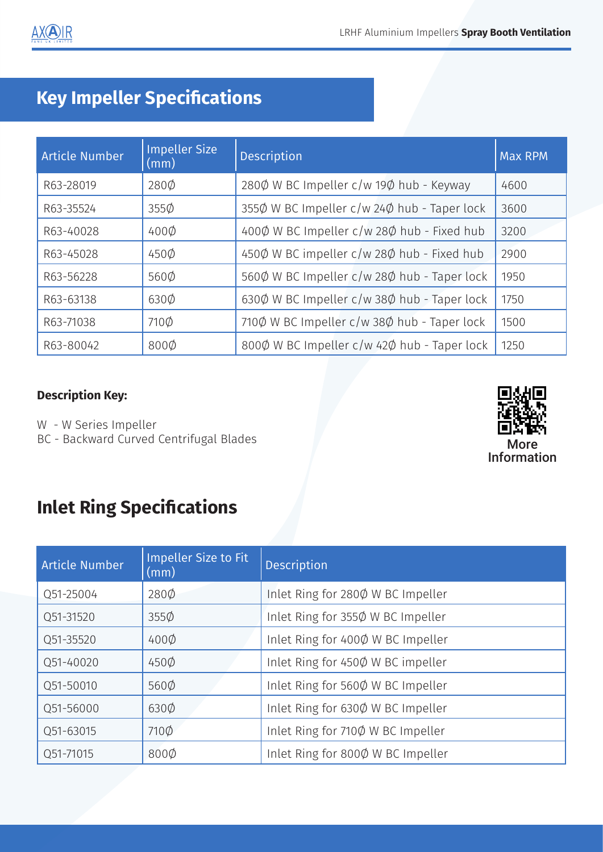## **Key Impeller Specifications**

| <b>Article Number</b> | <b>Impeller Size</b><br>$\vert$ (mm) | <b>Description</b>                          | <b>Max RPM</b> |
|-----------------------|--------------------------------------|---------------------------------------------|----------------|
| R63-28019             | 280Ø                                 | 2800 W BC Impeller c/w 190 hub - Keyway     | 4600           |
| R63-35524             | $355\phi$                            | 3550 W BC Impeller c/w 240 hub - Taper lock | 3600           |
| R63-40028             | $400\phi$                            | 4000 W BC Impeller c/w 280 hub - Fixed hub  | 3200           |
| R63-45028             | $450\phi$                            | 450Ø W BC impeller c/w 28Ø hub - Fixed hub  | 2900           |
| R63-56228             | 560Ø                                 | 5600 W BC Impeller c/w 280 hub - Taper lock | 1950           |
| R63-63138             | 630 <sub>Ø</sub>                     | 630Ø W BC Impeller c/w 38Ø hub - Taper lock | 1750           |
| R63-71038             | 710 <sup><math>\phi</math></sup>     | 7100 W BC Impeller c/w 380 hub - Taper lock | 1500           |
| R63-80042             | 800Ø                                 | 8000 W BC Impeller c/w 420 hub - Taper lock | 1250           |

#### **Description Key:**

W - W Series Impeller BC - Backward Curved Centrifugal Blades



### **Inlet Ring Specifications**

| <b>Article Number</b> | <b>Impeller Size to Fit</b><br>(mm) | <b>Description</b>                |
|-----------------------|-------------------------------------|-----------------------------------|
| Q51-25004             | 280Ø                                | Inlet Ring for 280Ø W BC Impeller |
| Q51-31520             | $355\phi$                           | Inlet Ring for 355Ø W BC Impeller |
| Q51-35520             | $400\phi$                           | Inlet Ring for 4000 W BC Impeller |
| Q51-40020             | $450\phi$                           | Inlet Ring for 450Ø W BC impeller |
| Q51-50010             | 560 <sub>0</sub>                    | Inlet Ring for 560Ø W BC Impeller |
| Q51-56000             | $630\phi$                           | Inlet Ring for 630Ø W BC Impeller |
| Q51-63015             | $710\phi$                           | Inlet Ring for 710Ø W BC Impeller |
| Q51-71015             | $800\phi$                           | Inlet Ring for 800Ø W BC Impeller |